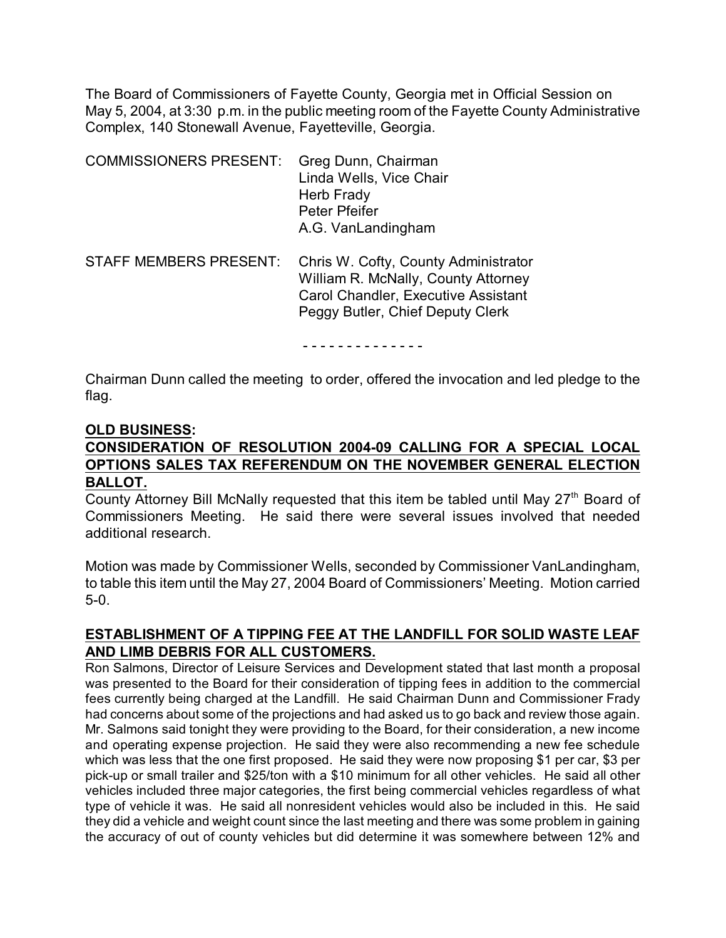The Board of Commissioners of Fayette County, Georgia met in Official Session on May 5, 2004, at 3:30 p.m. in the public meeting room of the Fayette County Administrative Complex, 140 Stonewall Avenue, Fayetteville, Georgia.

| <b>COMMISSIONERS PRESENT:</b> | Greg Dunn, Chairman<br>Linda Wells, Vice Chair<br>Herb Frady<br>Peter Pfeifer<br>A.G. VanLandingham                                                           |
|-------------------------------|---------------------------------------------------------------------------------------------------------------------------------------------------------------|
| <b>STAFF MEMBERS PRESENT:</b> | Chris W. Cofty, County Administrator<br>William R. McNally, County Attorney<br><b>Carol Chandler, Executive Assistant</b><br>Peggy Butler, Chief Deputy Clerk |

- - - - - - - - - - - - - -

Chairman Dunn called the meeting to order, offered the invocation and led pledge to the flag.

#### **OLD BUSINESS:**

# **CONSIDERATION OF RESOLUTION 2004-09 CALLING FOR A SPECIAL LOCAL OPTIONS SALES TAX REFERENDUM ON THE NOVEMBER GENERAL ELECTION BALLOT.**

County Attorney Bill McNally requested that this item be tabled until May 27<sup>th</sup> Board of Commissioners Meeting. He said there were several issues involved that needed additional research.

Motion was made by Commissioner Wells, seconded by Commissioner VanLandingham, to table this item until the May 27, 2004 Board of Commissioners' Meeting. Motion carried 5-0.

## **ESTABLISHMENT OF A TIPPING FEE AT THE LANDFILL FOR SOLID WASTE LEAF AND LIMB DEBRIS FOR ALL CUSTOMERS.**

Ron Salmons, Director of Leisure Services and Development stated that last month a proposal was presented to the Board for their consideration of tipping fees in addition to the commercial fees currently being charged at the Landfill. He said Chairman Dunn and Commissioner Frady had concerns about some of the projections and had asked us to go back and review those again. Mr. Salmons said tonight they were providing to the Board, for their consideration, a new income and operating expense projection. He said they were also recommending a new fee schedule which was less that the one first proposed. He said they were now proposing \$1 per car, \$3 per pick-up or small trailer and \$25/ton with a \$10 minimum for all other vehicles. He said all other vehicles included three major categories, the first being commercial vehicles regardless of what type of vehicle it was. He said all nonresident vehicles would also be included in this. He said they did a vehicle and weight count since the last meeting and there was some problem in gaining the accuracy of out of county vehicles but did determine it was somewhere between 12% and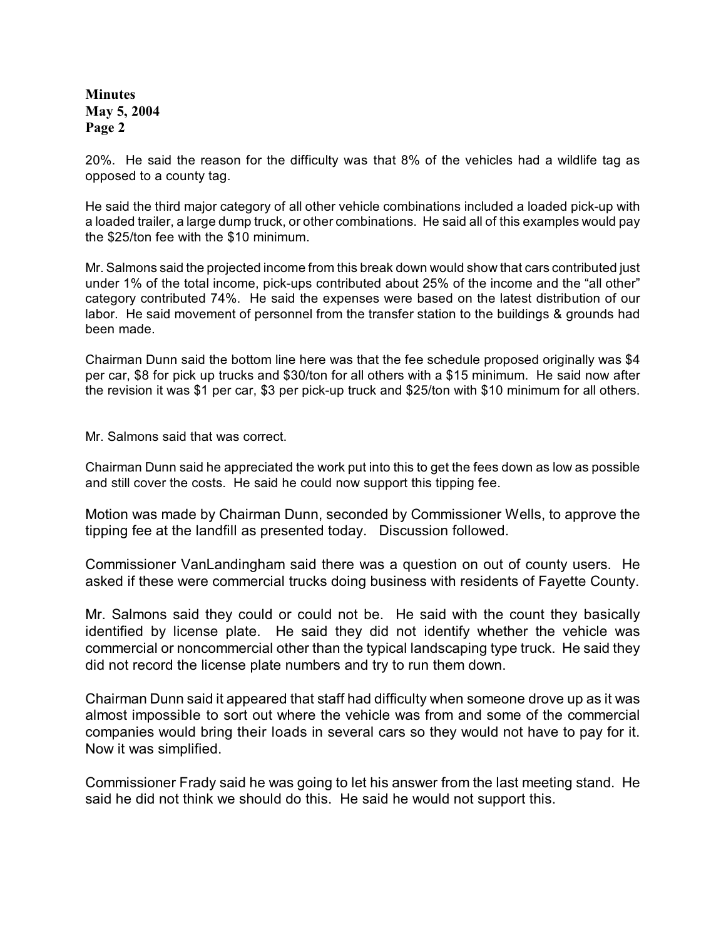20%. He said the reason for the difficulty was that 8% of the vehicles had a wildlife tag as opposed to a county tag.

He said the third major category of all other vehicle combinations included a loaded pick-up with a loaded trailer, a large dump truck, or other combinations. He said all of this examples would pay the \$25/ton fee with the \$10 minimum.

Mr. Salmons said the projected income from this break down would show that cars contributed just under 1% of the total income, pick-ups contributed about 25% of the income and the "all other" category contributed 74%. He said the expenses were based on the latest distribution of our labor. He said movement of personnel from the transfer station to the buildings & grounds had been made.

Chairman Dunn said the bottom line here was that the fee schedule proposed originally was \$4 per car, \$8 for pick up trucks and \$30/ton for all others with a \$15 minimum. He said now after the revision it was \$1 per car, \$3 per pick-up truck and \$25/ton with \$10 minimum for all others.

Mr. Salmons said that was correct.

Chairman Dunn said he appreciated the work put into this to get the fees down as low as possible and still cover the costs. He said he could now support this tipping fee.

Motion was made by Chairman Dunn, seconded by Commissioner Wells, to approve the tipping fee at the landfill as presented today. Discussion followed.

Commissioner VanLandingham said there was a question on out of county users. He asked if these were commercial trucks doing business with residents of Fayette County.

Mr. Salmons said they could or could not be. He said with the count they basically identified by license plate. He said they did not identify whether the vehicle was commercial or noncommercial other than the typical landscaping type truck. He said they did not record the license plate numbers and try to run them down.

Chairman Dunn said it appeared that staff had difficulty when someone drove up as it was almost impossible to sort out where the vehicle was from and some of the commercial companies would bring their loads in several cars so they would not have to pay for it. Now it was simplified.

Commissioner Frady said he was going to let his answer from the last meeting stand. He said he did not think we should do this. He said he would not support this.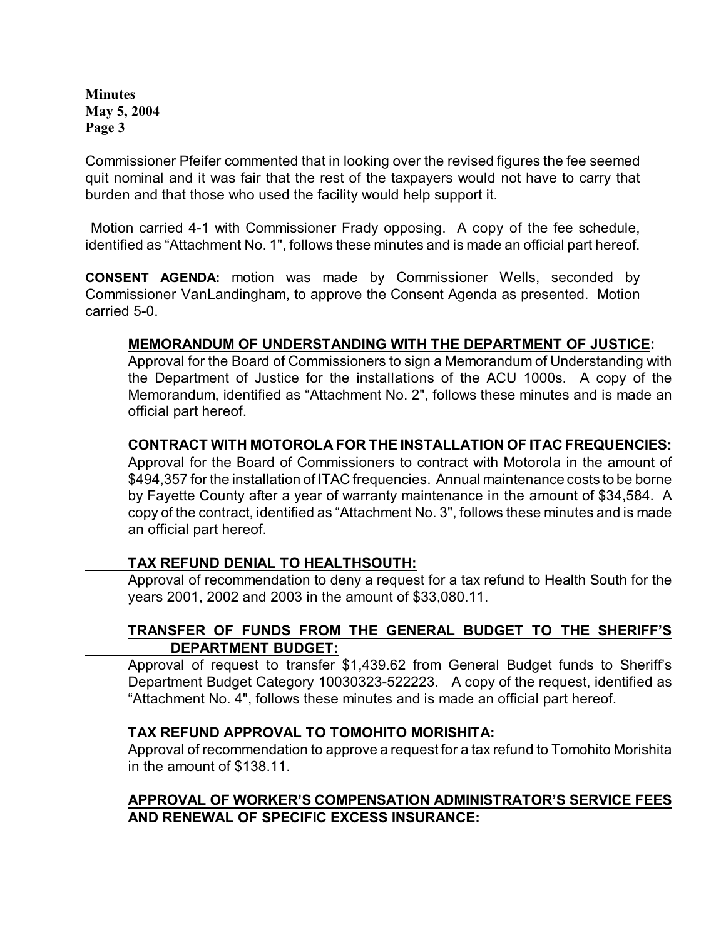Commissioner Pfeifer commented that in looking over the revised figures the fee seemed quit nominal and it was fair that the rest of the taxpayers would not have to carry that burden and that those who used the facility would help support it.

 Motion carried 4-1 with Commissioner Frady opposing. A copy of the fee schedule, identified as "Attachment No. 1", follows these minutes and is made an official part hereof.

**CONSENT AGENDA:** motion was made by Commissioner Wells, seconded by Commissioner VanLandingham, to approve the Consent Agenda as presented. Motion carried 5-0.

## **MEMORANDUM OF UNDERSTANDING WITH THE DEPARTMENT OF JUSTICE:**

Approval for the Board of Commissioners to sign a Memorandum of Understanding with the Department of Justice for the installations of the ACU 1000s. A copy of the Memorandum, identified as "Attachment No. 2", follows these minutes and is made an official part hereof.

## **CONTRACT WITH MOTOROLA FOR THE INSTALLATION OF ITAC FREQUENCIES:**

Approval for the Board of Commissioners to contract with Motorola in the amount of \$494,357 for the installation of ITAC frequencies. Annual maintenance costs to be borne by Fayette County after a year of warranty maintenance in the amount of \$34,584. A copy of the contract, identified as "Attachment No. 3", follows these minutes and is made an official part hereof.

### **TAX REFUND DENIAL TO HEALTHSOUTH:**

Approval of recommendation to deny a request for a tax refund to Health South for the years 2001, 2002 and 2003 in the amount of \$33,080.11.

## **TRANSFER OF FUNDS FROM THE GENERAL BUDGET TO THE SHERIFF'S DEPARTMENT BUDGET:**

Approval of request to transfer \$1,439.62 from General Budget funds to Sheriff's Department Budget Category 10030323-522223. A copy of the request, identified as "Attachment No. 4", follows these minutes and is made an official part hereof.

### **TAX REFUND APPROVAL TO TOMOHITO MORISHITA:**

Approval of recommendation to approve a request for a tax refund to Tomohito Morishita in the amount of \$138.11.

## **APPROVAL OF WORKER'S COMPENSATION ADMINISTRATOR'S SERVICE FEES AND RENEWAL OF SPECIFIC EXCESS INSURANCE:**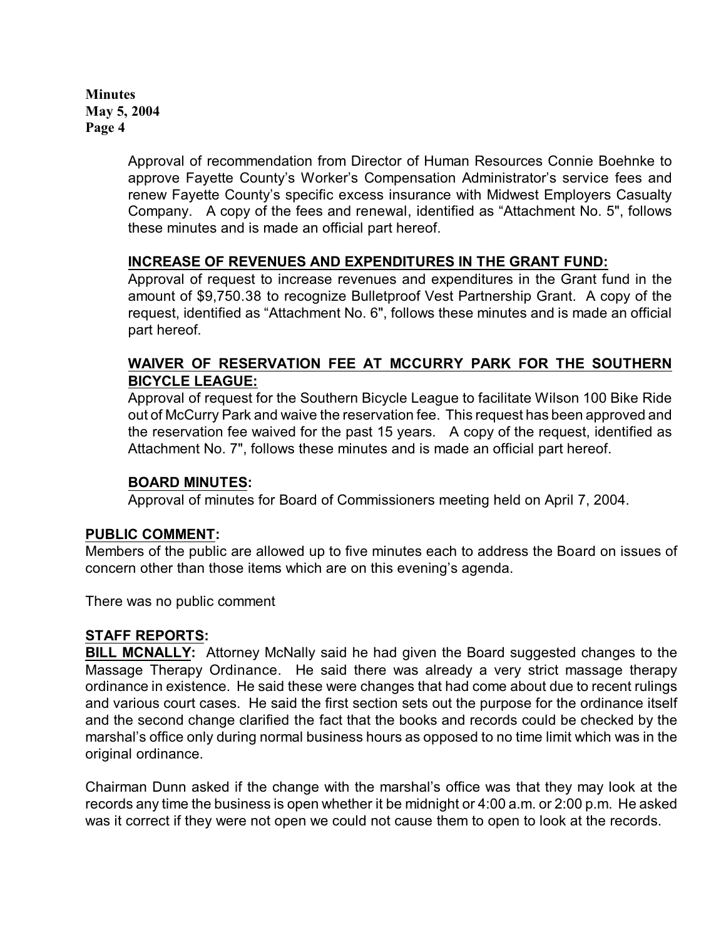> Approval of recommendation from Director of Human Resources Connie Boehnke to approve Fayette County's Worker's Compensation Administrator's service fees and renew Fayette County's specific excess insurance with Midwest Employers Casualty Company. A copy of the fees and renewal, identified as "Attachment No. 5", follows these minutes and is made an official part hereof.

## **INCREASE OF REVENUES AND EXPENDITURES IN THE GRANT FUND:**

Approval of request to increase revenues and expenditures in the Grant fund in the amount of \$9,750.38 to recognize Bulletproof Vest Partnership Grant.A copy of the request, identified as "Attachment No. 6", follows these minutes and is made an official part hereof.

## **WAIVER OF RESERVATION FEE AT MCCURRY PARK FOR THE SOUTHERN BICYCLE LEAGUE:**

Approval of request for the Southern Bicycle League to facilitate Wilson 100 Bike Ride out of McCurry Park and waive the reservation fee. This request has been approved and the reservation fee waived for the past 15 years. A copy of the request, identified as Attachment No. 7", follows these minutes and is made an official part hereof.

### **BOARD MINUTES:**

Approval of minutes for Board of Commissioners meeting held on April 7, 2004.

### **PUBLIC COMMENT:**

Members of the public are allowed up to five minutes each to address the Board on issues of concern other than those items which are on this evening's agenda.

There was no public comment

### **STAFF REPORTS:**

**BILL MCNALLY:** Attorney McNally said he had given the Board suggested changes to the Massage Therapy Ordinance. He said there was already a very strict massage therapy ordinance in existence. He said these were changes that had come about due to recent rulings and various court cases. He said the first section sets out the purpose for the ordinance itself and the second change clarified the fact that the books and records could be checked by the marshal's office only during normal business hours as opposed to no time limit which was in the original ordinance.

Chairman Dunn asked if the change with the marshal's office was that they may look at the records any time the business is open whether it be midnight or 4:00 a.m. or 2:00 p.m. He asked was it correct if they were not open we could not cause them to open to look at the records.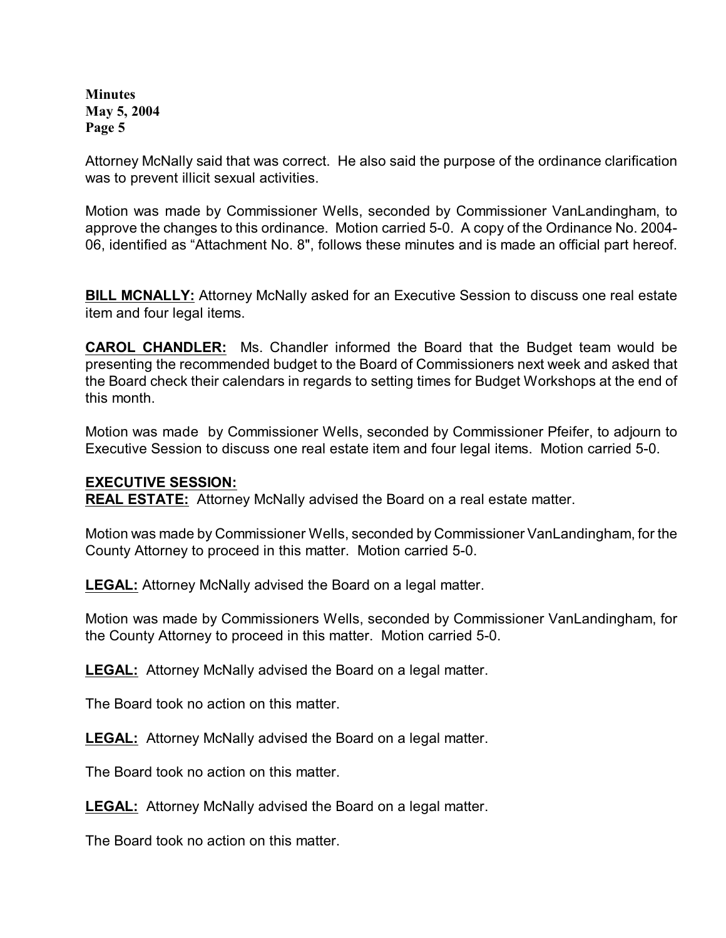Attorney McNally said that was correct. He also said the purpose of the ordinance clarification was to prevent illicit sexual activities.

Motion was made by Commissioner Wells, seconded by Commissioner VanLandingham, to approve the changes to this ordinance. Motion carried 5-0. A copy of the Ordinance No. 2004- 06, identified as "Attachment No. 8", follows these minutes and is made an official part hereof.

**BILL MCNALLY:** Attorney McNally asked for an Executive Session to discuss one real estate item and four legal items.

**CAROL CHANDLER:** Ms. Chandler informed the Board that the Budget team would be presenting the recommended budget to the Board of Commissioners next week and asked that the Board check their calendars in regards to setting times for Budget Workshops at the end of this month.

Motion was made by Commissioner Wells, seconded by Commissioner Pfeifer, to adjourn to Executive Session to discuss one real estate item and four legal items. Motion carried 5-0.

### **EXECUTIVE SESSION:**

**REAL ESTATE:** Attorney McNally advised the Board on a real estate matter.

Motion was made by Commissioner Wells, seconded by Commissioner VanLandingham, for the County Attorney to proceed in this matter. Motion carried 5-0.

**LEGAL:** Attorney McNally advised the Board on a legal matter.

Motion was made by Commissioners Wells, seconded by Commissioner VanLandingham, for the County Attorney to proceed in this matter. Motion carried 5-0.

**LEGAL:** Attorney McNally advised the Board on a legal matter.

The Board took no action on this matter.

**LEGAL:** Attorney McNally advised the Board on a legal matter.

The Board took no action on this matter.

**LEGAL:** Attorney McNally advised the Board on a legal matter.

The Board took no action on this matter.